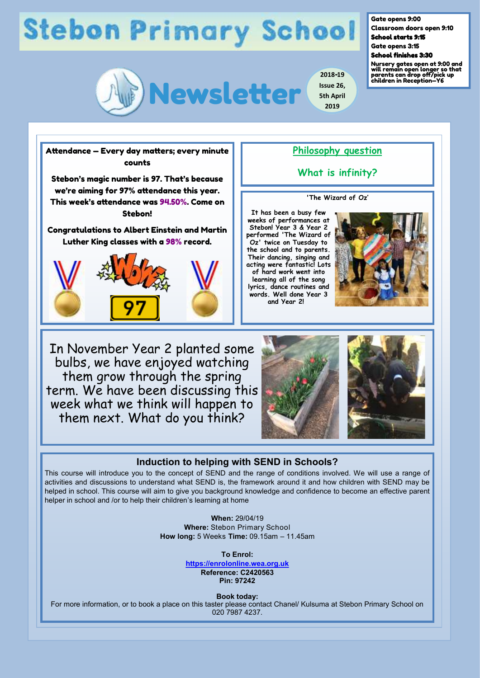# **Stebon Primary School**



**2018-19 Issue 26, 5th April 2019**

Gate opens 9:00

Classroom doors open 9:10 School starts 9:15

Gate opens 3:15

#### School finishes 3:30

Nursery gates open at 9:00 and will remain open longer so that parents can drop off/pick up children in Reception—Y6

counts Stebon's magic number is 97. That's because we're aiming for 97% attendance this year. This week's attendance was 94.50%. Come on Stebon! Congratulations to Albert Einstein and Martin Luther King classes with a 98% record.

Attendance — Every day matters; every minute



### **Philosophy question**

**What is infinity?**

### **'The Wizard of Oz'**

**It has been a busy few weeks of performances at Stebon! Year 3 & Year 2 performed 'The Wizard of Oz' twice on Tuesday to the school and to parents. Their dancing, singing and acting were fantastic! Lots of hard work went into learning all of the song lyrics, dance routines and words. Well done Year 3 and Year 2!** 



In November Year 2 planted some bulbs, we have enjoyed watching them grow through the spring term. We have been discussing this week what we think will happen to them next. What do you think?





### **Induction to helping with SEND in Schools?**

This course will introduce you to the concept of SEND and the range of conditions involved. We will use a range of activities and discussions to understand what SEND is, the framework around it and how children with SEND may be helped in school. This course will aim to give you background knowledge and confidence to become an effective parent helper in school and /or to help their children's learning at home

> **When:** 29/04/19 **Where:** Stebon Primary School **How long:** 5 Weeks **Time:** 09.15am – 11.45am

> > **To Enrol: <https://enrolonline.wea.org.uk> Reference: C2420563 Pin: 97242**

> > > **Book today:**

For more information, or to book a place on this taster please contact Chanel/ Kulsuma at Stebon Primary School on 020 7987 4237.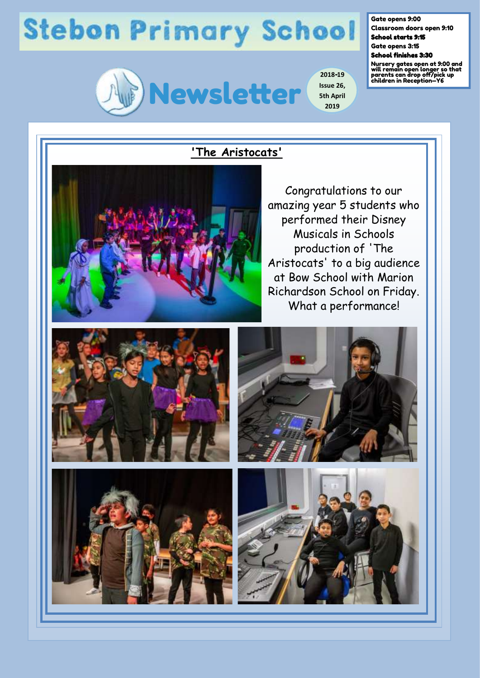# **Stebon Primary School**



**2018-19 Issue 26, 5th April 2019**

Gate opens 9:00

Classroom doors open 9:10 School starts 9:15

Gate opens 3:15

School finishes 3:30

Nursery gates open at 9:00 and will remain open longer so that parents can drop off/pick up children in Reception—Y6

## **'The Aristocats'**

Congratulations to our amazing year 5 students who performed their Disney Musicals in Schools production of 'The Aristocats' to a big audience at Bow School with Marion Richardson School on Friday. What a performance!